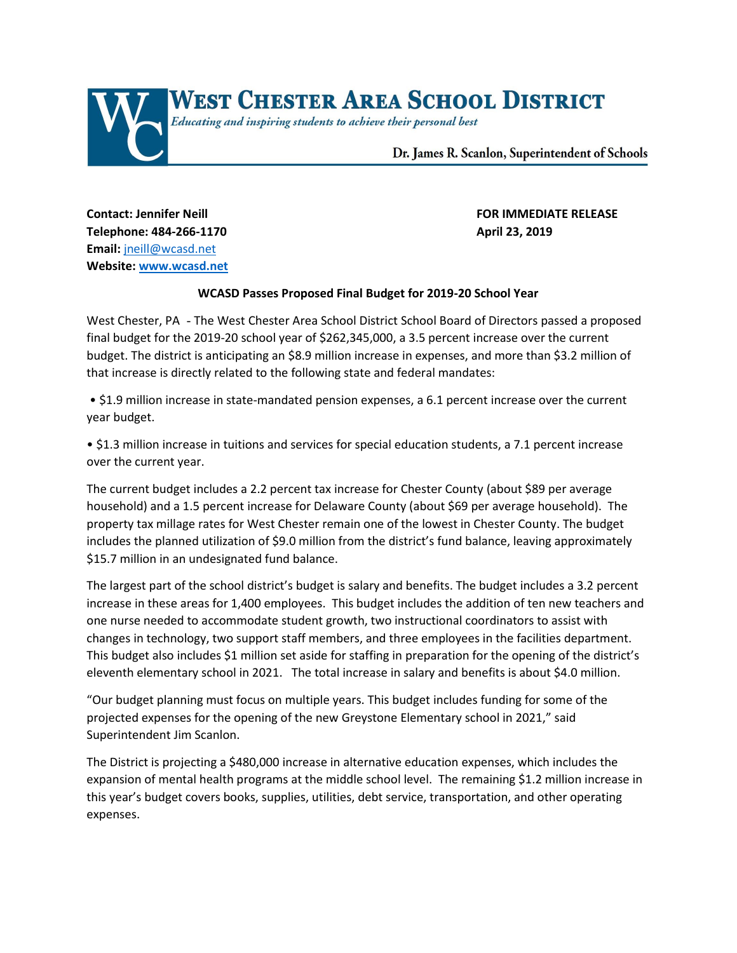

**Telephone: 484-266-1170 April 23, 2019 Email:** [jneill@wcasd.net](mailto:jneill@wcasd.net) **Website: [www.wcasd.net](http://www.wcasd.net/)**

## **Contact: Jennifer Neill FOR IMMEDIATE RELEASE**

## **WCASD Passes Proposed Final Budget for 2019-20 School Year**

West Chester, PA - The West Chester Area School District School Board of Directors passed a proposed final budget for the 2019-20 school year of \$262,345,000, a 3.5 percent increase over the current budget. The district is anticipating an \$8.9 million increase in expenses, and more than \$3.2 million of that increase is directly related to the following state and federal mandates:

• \$1.9 million increase in state-mandated pension expenses, a 6.1 percent increase over the current year budget.

• \$1.3 million increase in tuitions and services for special education students, a 7.1 percent increase over the current year.

The current budget includes a 2.2 percent tax increase for Chester County (about \$89 per average household) and a 1.5 percent increase for Delaware County (about \$69 per average household). The property tax millage rates for West Chester remain one of the lowest in Chester County. The budget includes the planned utilization of \$9.0 million from the district's fund balance, leaving approximately \$15.7 million in an undesignated fund balance.

The largest part of the school district's budget is salary and benefits. The budget includes a 3.2 percent increase in these areas for 1,400 employees. This budget includes the addition of ten new teachers and one nurse needed to accommodate student growth, two instructional coordinators to assist with changes in technology, two support staff members, and three employees in the facilities department. This budget also includes \$1 million set aside for staffing in preparation for the opening of the district's eleventh elementary school in 2021. The total increase in salary and benefits is about \$4.0 million.

"Our budget planning must focus on multiple years. This budget includes funding for some of the projected expenses for the opening of the new Greystone Elementary school in 2021," said Superintendent Jim Scanlon.

The District is projecting a \$480,000 increase in alternative education expenses, which includes the expansion of mental health programs at the middle school level. The remaining \$1.2 million increase in this year's budget covers books, supplies, utilities, debt service, transportation, and other operating expenses.